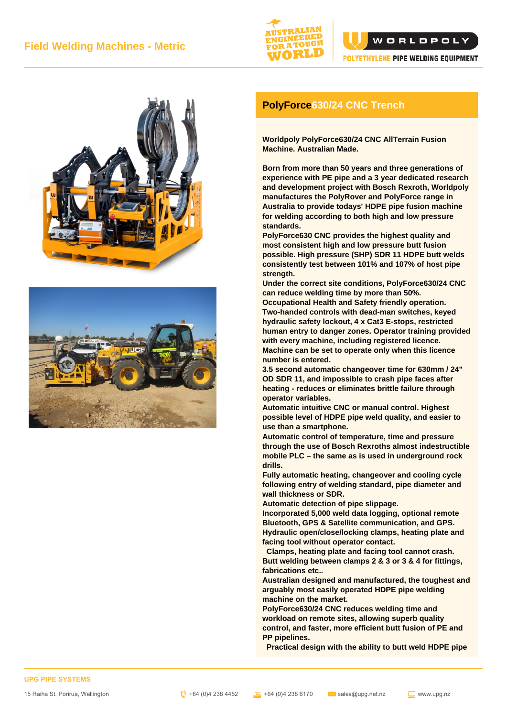







## **PolyForce630/24 CNC Trench**

**Worldpoly PolyForce630/24 CNC AllTerrain Fusion Machine. Australian Made.**

**Born from more than 50 years and three generations of experience with PE pipe and a 3 year dedicated research and development project with Bosch Rexroth, Worldpoly manufactures the PolyRover and PolyForce range in Australia to provide todays' HDPE pipe fusion machine for welding according to both high and low pressure standards.**

**PolyForce630 CNC provides the highest quality and most consistent high and low pressure butt fusion possible. High pressure (SHP) SDR 11 HDPE butt welds consistently test between 101% and 107% of host pipe strength.**

**Under the correct site conditions, PolyForce630/24 CNC can reduce welding time by more than 50%.**

**Occupational Health and Safety friendly operation. Two-handed controls with dead-man switches, keyed hydraulic safety lockout, 4 x Cat3 E-stops, restricted human entry to danger zones. Operator training provided with every machine, including registered licence. Machine can be set to operate only when this licence number is entered.**

**3.5 second automatic changeover time for 630mm / 24" OD SDR 11, and impossible to crash pipe faces after heating - reduces or eliminates brittle failure through operator variables.**

**Automatic intuitive CNC or manual control. Highest possible level of HDPE pipe weld quality, and easier to use than a smartphone.**

**Automatic control of temperature, time and pressure through the use of Bosch Rexroths almost indestructible mobile PLC – the same as is used in underground rock drills.**

**Fully automatic heating, changeover and cooling cycle following entry of welding standard, pipe diameter and wall thickness or SDR.**

**Automatic detection of pipe slippage.**

**Incorporated 5,000 weld data logging, optional remote Bluetooth, GPS & Satellite communication, and GPS. Hydraulic open/close/locking clamps, heating plate and facing tool without operator contact.**

 **Clamps, heating plate and facing tool cannot crash. Butt welding between clamps 2 & 3 or 3 & 4 for fittings, fabrications etc..**

**Australian designed and manufactured, the toughest and arguably most easily operated HDPE pipe welding machine on the market.**

**PolyForce630/24 CNC reduces welding time and workload on remote sites, allowing superb quality control, and faster, more efficient butt fusion of PE and PP pipelines.**

 **Practical design with the ability to butt weld HDPE pipe**